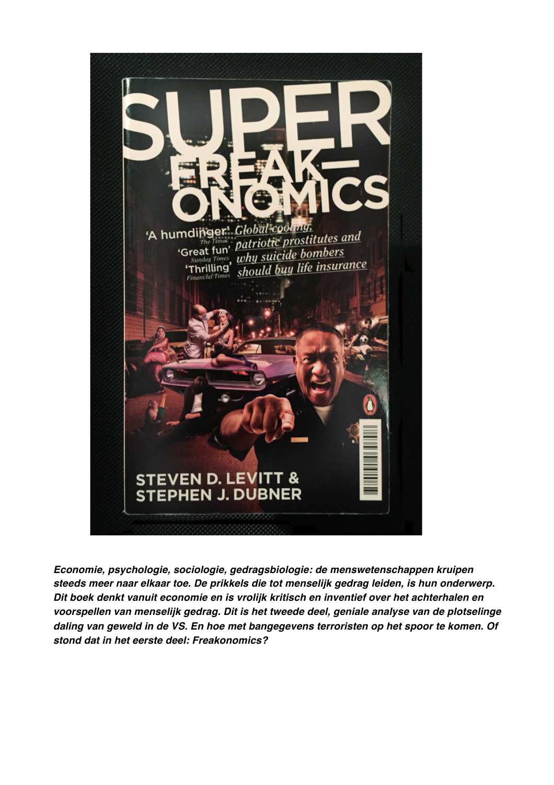

*Economie, psychologie, sociologie, gedragsbiologie: de menswetenschappen kruipen steeds meer naar elkaar toe. De prikkels die tot menselijk gedrag leiden, is hun onderwerp. Dit boek denkt vanuit economie en is vrolijk kritisch en inventief over het achterhalen en voorspellen van menselijk gedrag. Dit is het tweede deel, geniale analyse van de plotselinge daling van geweld in de VS. En hoe met bangegevens terroristen op het spoor te komen. Of stond dat in het eerste deel: Freakonomics?*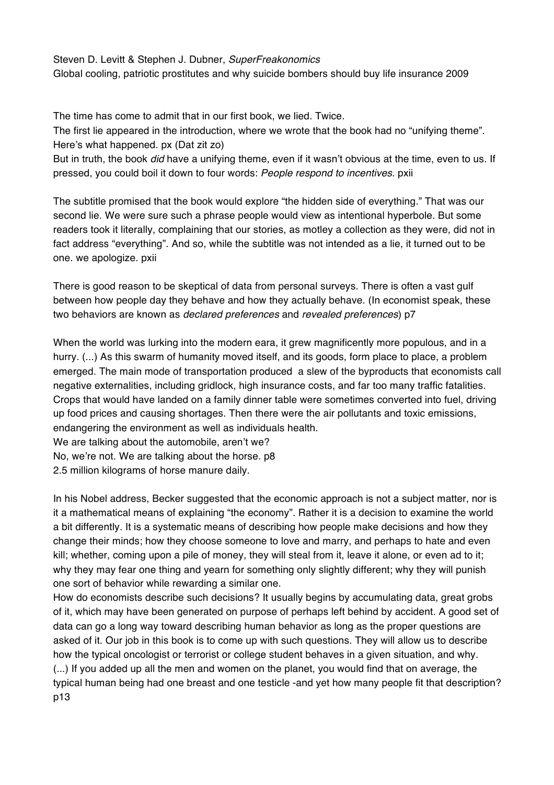## Steven D. Levitt & Stephen J. Dubner, *SuperFreakonomics*

Global cooling, patriotic prostitutes and why suicide bombers should buy life insurance 2009

The time has come to admit that in our first book, we lied. Twice.

The first lie appeared in the introduction, where we wrote that the book had no "unifying theme". Here's what happened. px (Dat zit zo)

But in truth, the book *did* have a unifying theme, even if it wasn't obvious at the time, even to us. If pressed, you could boil it down to four words: *People respond to incentives*. pxii

The subtitle promised that the book would explore "the hidden side of everything." That was our second lie. We were sure such a phrase people would view as intentional hyperbole. But some readers took it literally, complaining that our stories, as motley a collection as they were, did not in fact address "everything". And so, while the subtitle was not intended as a lie, it turned out to be one. we apologize. pxii

There is good reason to be skeptical of data from personal surveys. There is often a vast gulf between how people day they behave and how they actually behave. (In economist speak, these two behaviors are known as *declared preferences* and *revealed preferences*) p7

When the world was lurking into the modern eara, it grew magnificently more populous, and in a hurry.  $(...)$  As this swarm of humanity moved itself, and its goods, form place to place, a problem emerged. The main mode of transportation produced a slew of the byproducts that economists call negative externalities, including gridlock, high insurance costs, and far too many traffic fatalities. Crops that would have landed on a family dinner table were sometimes converted into fuel, driving up food prices and causing shortages. Then there were the air pollutants and toxic emissions, endangering the environment as well as individuals health.

We are talking about the automobile, aren't we?

No, we're not. We are talking about the horse. p8

2.5 million kilograms of horse manure daily.

In his Nobel address, Becker suggested that the economic approach is not a subject matter, nor is it a mathematical means of explaining "the economy". Rather it is a decision to examine the world a bit differently. It is a systematic means of describing how people make decisions and how they change their minds; how they choose someone to love and marry, and perhaps to hate and even kill; whether, coming upon a pile of money, they will steal from it, leave it alone, or even ad to it; why they may fear one thing and yearn for something only slightly different; why they will punish one sort of behavior while rewarding a similar one.

How do economists describe such decisions? It usually begins by accumulating data, great grobs of it, which may have been generated on purpose of perhaps left behind by accident. A good set of data can go a long way toward describing human behavior as long as the proper questions are asked of it. Our job in this book is to come up with such questions. They will allow us to describe how the typical oncologist or terrorist or college student behaves in a given situation, and why. (...) If you added up all the men and women on the planet, you would find that on average, the typical human being had one breast and one testicle -and yet how many people fit that description? p13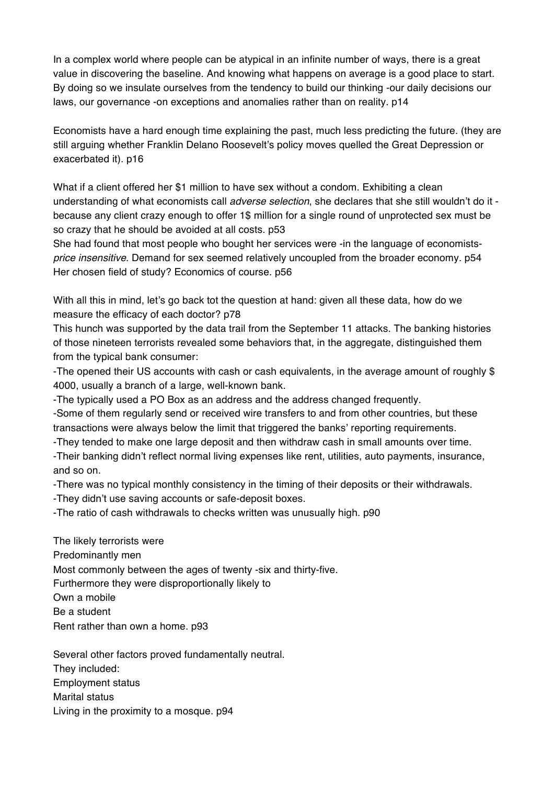In a complex world where people can be atypical in an infinite number of ways, there is a great value in discovering the baseline. And knowing what happens on average is a good place to start. By doing so we insulate ourselves from the tendency to build our thinking -our daily decisions our laws, our governance -on exceptions and anomalies rather than on reality. p14

Economists have a hard enough time explaining the past, much less predicting the future. (they are still arguing whether Franklin Delano Roosevelt's policy moves quelled the Great Depression or exacerbated it). p16

What if a client offered her \$1 million to have sex without a condom. Exhibiting a clean understanding of what economists call *adverse selection*, she declares that she still wouldn't do it because any client crazy enough to offer 1\$ million for a single round of unprotected sex must be so crazy that he should be avoided at all costs. p53

She had found that most people who bought her services were -in the language of economists*price insensitive*. Demand for sex seemed relatively uncoupled from the broader economy. p54 Her chosen field of study? Economics of course. p56

With all this in mind, let's go back tot the question at hand: given all these data, how do we measure the efficacy of each doctor? p78

This hunch was supported by the data trail from the September 11 attacks. The banking histories of those nineteen terrorists revealed some behaviors that, in the aggregate, distinguished them from the typical bank consumer:

-The opened their US accounts with cash or cash equivalents, in the average amount of roughly \$ 4000, usually a branch of a large, well-known bank.

-The typically used a PO Box as an address and the address changed frequently.

-Some of them regularly send or received wire transfers to and from other countries, but these transactions were always below the limit that triggered the banks' reporting requirements.

-They tended to make one large deposit and then withdraw cash in small amounts over time.

-Their banking didn't reflect normal living expenses like rent, utilities, auto payments, insurance, and so on.

-There was no typical monthly consistency in the timing of their deposits or their withdrawals.

-They didn't use saving accounts or safe-deposit boxes.

-The ratio of cash withdrawals to checks written was unusually high. p90

The likely terrorists were Predominantly men Most commonly between the ages of twenty -six and thirty-five. Furthermore they were disproportionally likely to Own a mobile Be a student Rent rather than own a home. p93

Several other factors proved fundamentally neutral. They included: Employment status Marital status Living in the proximity to a mosque. p94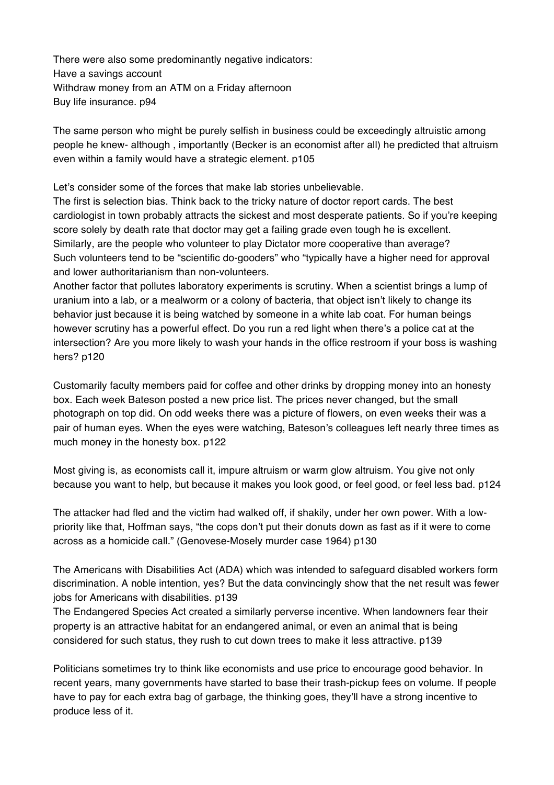There were also some predominantly negative indicators: Have a savings account Withdraw money from an ATM on a Friday afternoon Buy life insurance. p94

The same person who might be purely selfish in business could be exceedingly altruistic among people he knew- although , importantly (Becker is an economist after all) he predicted that altruism even within a family would have a strategic element. p105

Let's consider some of the forces that make lab stories unbelievable.

The first is selection bias. Think back to the tricky nature of doctor report cards. The best cardiologist in town probably attracts the sickest and most desperate patients. So if you're keeping score solely by death rate that doctor may get a failing grade even tough he is excellent. Similarly, are the people who volunteer to play Dictator more cooperative than average? Such volunteers tend to be "scientific do-gooders" who "typically have a higher need for approval and lower authoritarianism than non-volunteers.

Another factor that pollutes laboratory experiments is scrutiny. When a scientist brings a lump of uranium into a lab, or a mealworm or a colony of bacteria, that object isn't likely to change its behavior just because it is being watched by someone in a white lab coat. For human beings however scrutiny has a powerful effect. Do you run a red light when there's a police cat at the intersection? Are you more likely to wash your hands in the office restroom if your boss is washing hers? p120

Customarily faculty members paid for coffee and other drinks by dropping money into an honesty box. Each week Bateson posted a new price list. The prices never changed, but the small photograph on top did. On odd weeks there was a picture of flowers, on even weeks their was a pair of human eyes. When the eyes were watching, Bateson's colleagues left nearly three times as much money in the honesty box. p122

Most giving is, as economists call it, impure altruism or warm glow altruism. You give not only because you want to help, but because it makes you look good, or feel good, or feel less bad. p124

The attacker had fled and the victim had walked off, if shakily, under her own power. With a lowpriority like that, Hoffman says, "the cops don't put their donuts down as fast as if it were to come across as a homicide call." (Genovese-Mosely murder case 1964) p130

The Americans with Disabilities Act (ADA) which was intended to safeguard disabled workers form discrimination. A noble intention, yes? But the data convincingly show that the net result was fewer jobs for Americans with disabilities. p139

The Endangered Species Act created a similarly perverse incentive. When landowners fear their property is an attractive habitat for an endangered animal, or even an animal that is being considered for such status, they rush to cut down trees to make it less attractive. p139

Politicians sometimes try to think like economists and use price to encourage good behavior. In recent years, many governments have started to base their trash-pickup fees on volume. If people have to pay for each extra bag of garbage, the thinking goes, they'll have a strong incentive to produce less of it.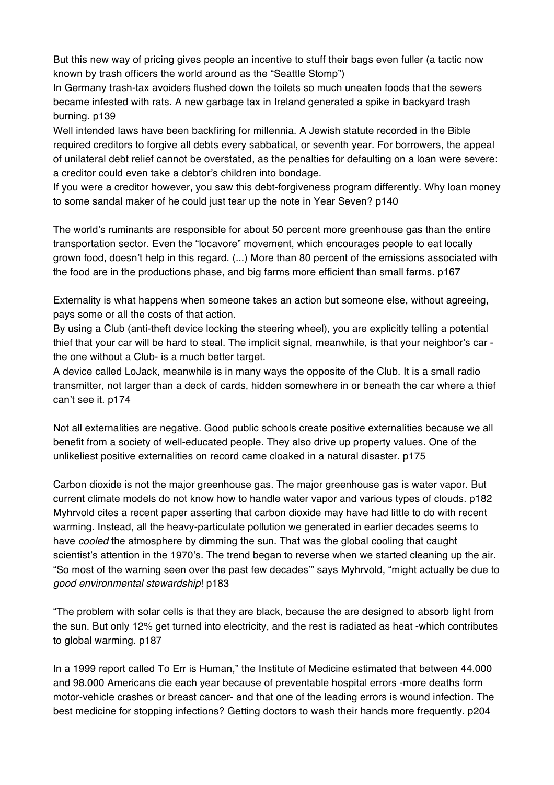But this new way of pricing gives people an incentive to stuff their bags even fuller (a tactic now known by trash officers the world around as the "Seattle Stomp")

In Germany trash-tax avoiders flushed down the toilets so much uneaten foods that the sewers became infested with rats. A new garbage tax in Ireland generated a spike in backyard trash burning. p139

Well intended laws have been backfiring for millennia. A Jewish statute recorded in the Bible required creditors to forgive all debts every sabbatical, or seventh year. For borrowers, the appeal of unilateral debt relief cannot be overstated, as the penalties for defaulting on a loan were severe: a creditor could even take a debtor's children into bondage.

If you were a creditor however, you saw this debt-forgiveness program differently. Why loan money to some sandal maker of he could just tear up the note in Year Seven? p140

The world's ruminants are responsible for about 50 percent more greenhouse gas than the entire transportation sector. Even the "locavore" movement, which encourages people to eat locally grown food, doesn't help in this regard. (...) More than 80 percent of the emissions associated with the food are in the productions phase, and big farms more efficient than small farms. p167

Externality is what happens when someone takes an action but someone else, without agreeing, pays some or all the costs of that action.

By using a Club (anti-theft device locking the steering wheel), you are explicitly telling a potential thief that your car will be hard to steal. The implicit signal, meanwhile, is that your neighbor's car the one without a Club- is a much better target.

A device called LoJack, meanwhile is in many ways the opposite of the Club. It is a small radio transmitter, not larger than a deck of cards, hidden somewhere in or beneath the car where a thief can't see it. p174

Not all externalities are negative. Good public schools create positive externalities because we all benefit from a society of well-educated people. They also drive up property values. One of the unlikeliest positive externalities on record came cloaked in a natural disaster. p175

Carbon dioxide is not the major greenhouse gas. The major greenhouse gas is water vapor. But current climate models do not know how to handle water vapor and various types of clouds. p182 Myhrvold cites a recent paper asserting that carbon dioxide may have had little to do with recent warming. Instead, all the heavy-particulate pollution we generated in earlier decades seems to have *cooled* the atmosphere by dimming the sun. That was the global cooling that caught scientist's attention in the 1970's. The trend began to reverse when we started cleaning up the air. "So most of the warning seen over the past few decades'" says Myhrvold, "might actually be due to *good environmental stewardship*! p183

"The problem with solar cells is that they are black, because the are designed to absorb light from the sun. But only 12% get turned into electricity, and the rest is radiated as heat -which contributes to global warming. p187

In a 1999 report called To Err is Human," the Institute of Medicine estimated that between 44.000 and 98.000 Americans die each year because of preventable hospital errors -more deaths form motor-vehicle crashes or breast cancer- and that one of the leading errors is wound infection. The best medicine for stopping infections? Getting doctors to wash their hands more frequently. p204